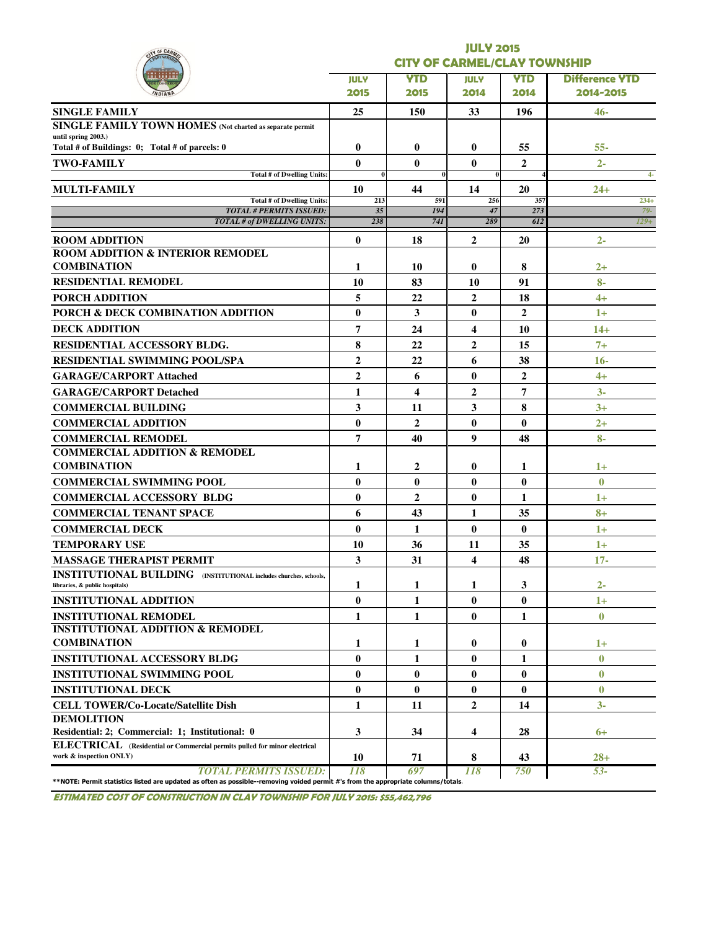| Y OF CAR                                                                                                   | <b>JULY 2015</b> |                                     |                |                |                       |  |  |  |  |  |  |
|------------------------------------------------------------------------------------------------------------|------------------|-------------------------------------|----------------|----------------|-----------------------|--|--|--|--|--|--|
|                                                                                                            |                  | <b>CITY OF CARMEL/CLAY TOWNSHIP</b> |                |                |                       |  |  |  |  |  |  |
|                                                                                                            | <b>JULY</b>      | <b>YTD</b>                          | <b>JULY</b>    | <b>YTD</b>     | <b>Difference YTD</b> |  |  |  |  |  |  |
|                                                                                                            | 2015             | 2015                                | 2014           | 2014           | 2014-2015             |  |  |  |  |  |  |
| <b>SINGLE FAMILY</b>                                                                                       | 25               | 150                                 | 33             | 196            | 46-                   |  |  |  |  |  |  |
| SINGLE FAMILY TOWN HOMES (Not charted as separate permit                                                   |                  |                                     |                |                |                       |  |  |  |  |  |  |
| until spring 2003.)<br>Total # of Buildings: 0; Total # of parcels: 0                                      | $\bf{0}$         | $\bf{0}$                            | 0              | 55             | $55 -$                |  |  |  |  |  |  |
| <b>TWO-FAMILY</b>                                                                                          | 0                | $\mathbf{0}$                        | $\bf{0}$       | $\overline{2}$ | $2 -$                 |  |  |  |  |  |  |
| <b>Total # of Dwelling Units:</b>                                                                          | $\bf{0}$         |                                     | $\bf{0}$       |                | $4-$                  |  |  |  |  |  |  |
| MULTI-FAMILY                                                                                               | 10               | 44                                  | 14             | 20             | 24+                   |  |  |  |  |  |  |
| Total # of Dwelling Units:<br><b>TOTAL # PERMITS ISSUED:</b>                                               | 213<br>35        | 591<br>194                          | 256<br>47      | 357<br>273     | $234+$<br>$79-$       |  |  |  |  |  |  |
| <b>TOTAL # of DWELLING UNITS:</b>                                                                          | 238              | 74I                                 | 289            | 612            | $129+$                |  |  |  |  |  |  |
| <b>ROOM ADDITION</b>                                                                                       | $\bf{0}$         | 18                                  | $\mathbf{2}$   | 20             | $2 -$                 |  |  |  |  |  |  |
| <b>ROOM ADDITION &amp; INTERIOR REMODEL</b>                                                                |                  |                                     |                |                |                       |  |  |  |  |  |  |
| <b>COMBINATION</b>                                                                                         | 1                | 10                                  | 0              | 8              | $2+$                  |  |  |  |  |  |  |
| <b>RESIDENTIAL REMODEL</b>                                                                                 | 10               | 83                                  | 10             | 91             | $8-$                  |  |  |  |  |  |  |
| <b>PORCH ADDITION</b>                                                                                      | 5                | 22                                  | $\overline{2}$ | 18             | $4+$                  |  |  |  |  |  |  |
| PORCH & DECK COMBINATION ADDITION                                                                          | $\bf{0}$         | 3                                   | $\bf{0}$       | $\mathbf{2}$   | $1+$                  |  |  |  |  |  |  |
| <b>DECK ADDITION</b>                                                                                       | 7                | 24                                  | 4              | 10             | $14+$                 |  |  |  |  |  |  |
| <b>RESIDENTIAL ACCESSORY BLDG.</b>                                                                         | 8                | 22                                  | 2              | 15             | $7+$                  |  |  |  |  |  |  |
| <b>RESIDENTIAL SWIMMING POOL/SPA</b>                                                                       | $\overline{2}$   | 22                                  | 6              | 38             | $16-$                 |  |  |  |  |  |  |
| <b>GARAGE/CARPORT Attached</b>                                                                             | $\overline{2}$   | 6                                   | $\bf{0}$       | $\overline{2}$ | $4+$                  |  |  |  |  |  |  |
| <b>GARAGE/CARPORT Detached</b>                                                                             | 1                | 4                                   | $\mathbf{2}$   | 7              | $3-$                  |  |  |  |  |  |  |
| <b>COMMERCIAL BUILDING</b>                                                                                 | 3                | 11                                  | 3              | 8              | $3+$                  |  |  |  |  |  |  |
| <b>COMMERCIAL ADDITION</b>                                                                                 | $\bf{0}$         | $\overline{2}$                      | $\bf{0}$       | $\bf{0}$       | $2+$                  |  |  |  |  |  |  |
| <b>COMMERCIAL REMODEL</b>                                                                                  | 7                | 40                                  | 9              | 48             | $8-$                  |  |  |  |  |  |  |
| <b>COMMERCIAL ADDITION &amp; REMODEL</b>                                                                   |                  |                                     |                |                |                       |  |  |  |  |  |  |
| <b>COMBINATION</b>                                                                                         | 1                | 2                                   | 0              | 1              | $1+$                  |  |  |  |  |  |  |
| <b>COMMERCIAL SWIMMING POOL</b>                                                                            | $\bf{0}$         | $\mathbf{0}$                        | $\bf{0}$       | $\bf{0}$       | $\mathbf{0}$          |  |  |  |  |  |  |
| <b>COMMERCIAL ACCESSORY BLDG</b>                                                                           | $\bf{0}$         | $\overline{2}$                      | $\bf{0}$       | 1              | $1+$                  |  |  |  |  |  |  |
| <b>COMMERCIAL TENANT SPACE</b>                                                                             | 6                | 43                                  | 1              | 35             | $8+$                  |  |  |  |  |  |  |
| <b>COMMERCIAL DECK</b>                                                                                     | $\bf{0}$         | 1                                   | $\bf{0}$       | $\bf{0}$       | $1+$                  |  |  |  |  |  |  |
| <b>TEMPORARY USE</b>                                                                                       | 10               | 36                                  | 11             | 35             | $1+$                  |  |  |  |  |  |  |
| <b>MASSAGE THERAPIST PERMIT</b>                                                                            | 3                | 31                                  | 4              | 48             | $17 -$                |  |  |  |  |  |  |
| <b>INSTITUTIONAL BUILDING</b> (INSTITUTIONAL includes churches, schools,<br>libraries, & public hospitals) | 1                | 1                                   | 1              | 3              | $2 -$                 |  |  |  |  |  |  |
| <b>INSTITUTIONAL ADDITION</b>                                                                              | $\bf{0}$         | $\mathbf{1}$                        | $\bf{0}$       | $\bf{0}$       | $1+$                  |  |  |  |  |  |  |
| <b>INSTITUTIONAL REMODEL</b>                                                                               | 1                | 1                                   | $\bf{0}$       | $\mathbf{1}$   | $\bf{0}$              |  |  |  |  |  |  |
| <b>INSTITUTIONAL ADDITION &amp; REMODEL</b>                                                                |                  |                                     |                |                |                       |  |  |  |  |  |  |
| <b>COMBINATION</b>                                                                                         | 1                | 1                                   | 0              | $\bf{0}$       | $1+$                  |  |  |  |  |  |  |
| <b>INSTITUTIONAL ACCESSORY BLDG</b>                                                                        | $\bf{0}$         | 1                                   | $\bf{0}$       | 1              | $\bf{0}$              |  |  |  |  |  |  |
| <b>INSTITUTIONAL SWIMMING POOL</b>                                                                         | $\bf{0}$         | $\bf{0}$                            | $\bf{0}$       | $\bf{0}$       | $\bf{0}$              |  |  |  |  |  |  |
| <b>INSTITUTIONAL DECK</b>                                                                                  | $\bf{0}$         | $\mathbf{0}$                        | $\bf{0}$       | $\bf{0}$       | $\bf{0}$              |  |  |  |  |  |  |
| <b>CELL TOWER/Co-Locate/Satellite Dish</b>                                                                 | 1                | 11                                  | 2              | 14             | $3-$                  |  |  |  |  |  |  |
| <b>DEMOLITION</b>                                                                                          |                  |                                     |                |                |                       |  |  |  |  |  |  |
| Residential: 2; Commercial: 1; Institutional: 0                                                            | 3                | 34                                  | 4              | 28             | $6+$                  |  |  |  |  |  |  |
| ELECTRICAL (Residential or Commercial permits pulled for minor electrical<br>work & inspection ONLY)       | 10               | 71                                  | 8              | 43             | $28 +$                |  |  |  |  |  |  |

ESTIMATED COST OF CONSTRUCTION IN CLAY TOWNSHIP FOR JULY 2015: \$55,462,796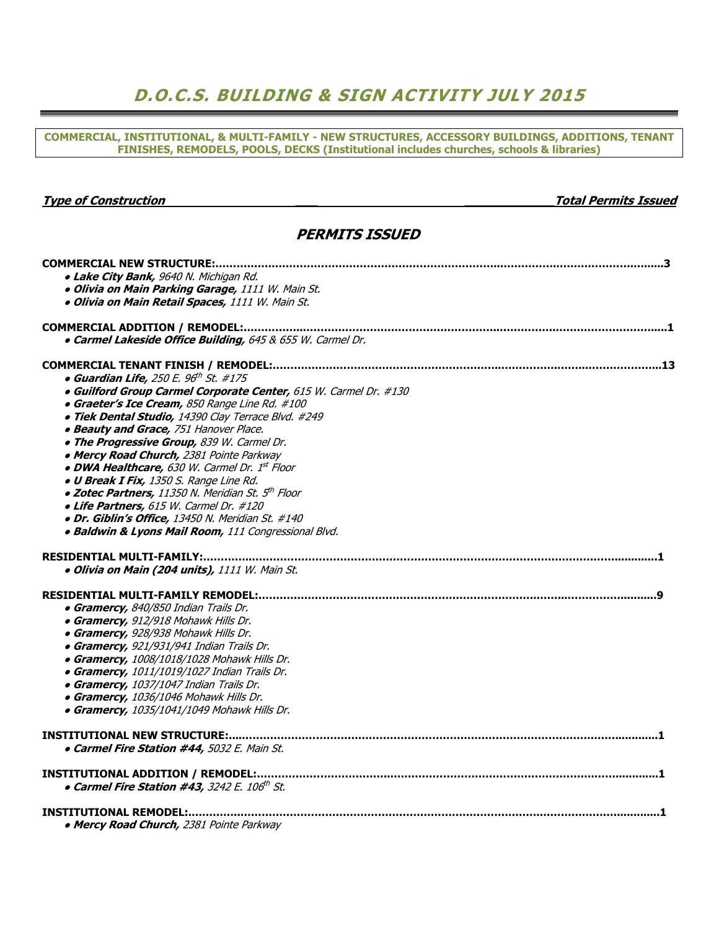## D.O.C.S. BUILDING & SIGN ACTIVITY JULY 2015

COMMERCIAL, INSTITUTIONAL, & MULTI-FAMILY - NEW STRUCTURES, ACCESSORY BUILDINGS, ADDITIONS, TENANT FINISHES, REMODELS, POOLS, DECKS (Institutional includes churches, schools & libraries)

#### Type of Construction and the construction of the construction of the construction of the construction of the construction of the construction of the construction of the construction of the construction of the construction

#### PERMITS ISSUED

| · Lake City Bank, 9640 N. Michigan Rd.                           |
|------------------------------------------------------------------|
| · Olivia on Main Parking Garage, 1111 W. Main St.                |
| · Olivia on Main Retail Spaces, 1111 W. Main St.                 |
|                                                                  |
|                                                                  |
| . Carmel Lakeside Office Building, 645 & 655 W. Carmel Dr.       |
|                                                                  |
| • Guardian Life, 250 E. $96th$ St. #175                          |
| · Guilford Group Carmel Corporate Center, 615 W. Carmel Dr. #130 |
| • Graeter's Ice Cream, 850 Range Line Rd. #100                   |
| · Tiek Dental Studio, 14390 Clay Terrace Blvd. #249              |
| · Beauty and Grace, 751 Hanover Place.                           |
| . The Progressive Group, 839 W. Carmel Dr.                       |
| • Mercy Road Church, 2381 Pointe Parkway                         |
| • DWA Healthcare, 630 W. Carmel Dr. 1st Floor                    |
| . U Break I Fix, 1350 S. Range Line Rd.                          |
| • Zotec Partners, 11350 N. Meridian St. 5 <sup>th</sup> Floor    |
| • Life Partners, 615 W. Carmel Dr. #120                          |
| · Dr. Giblin's Office, 13450 N. Meridian St. #140                |
| · Baldwin & Lyons Mail Room, 111 Congressional Blvd.             |
|                                                                  |
|                                                                  |
| · Olivia on Main (204 units), 1111 W. Main St.                   |
|                                                                  |
|                                                                  |
| • Gramercy, 840/850 Indian Trails Dr.                            |
| • Gramercy, 912/918 Mohawk Hills Dr.                             |
| • Gramercy, 928/938 Mohawk Hills Dr.                             |
| • Gramercy, 921/931/941 Indian Trails Dr.                        |
| • Gramercy, 1008/1018/1028 Mohawk Hills Dr.                      |
| • Gramercy, 1011/1019/1027 Indian Trails Dr.                     |
| • Gramercy, 1037/1047 Indian Trails Dr.                          |
| • Gramercy, 1036/1046 Mohawk Hills Dr.                           |
| • Gramercy, 1035/1041/1049 Mohawk Hills Dr.                      |
|                                                                  |
| • Carmel Fire Station #44, 5032 E. Main St.                      |
|                                                                  |
|                                                                  |
| • Carmel Fire Station #43, 3242 E. 106th St.                     |
|                                                                  |
|                                                                  |
| • Mercy Road Church, 2381 Pointe Parkway                         |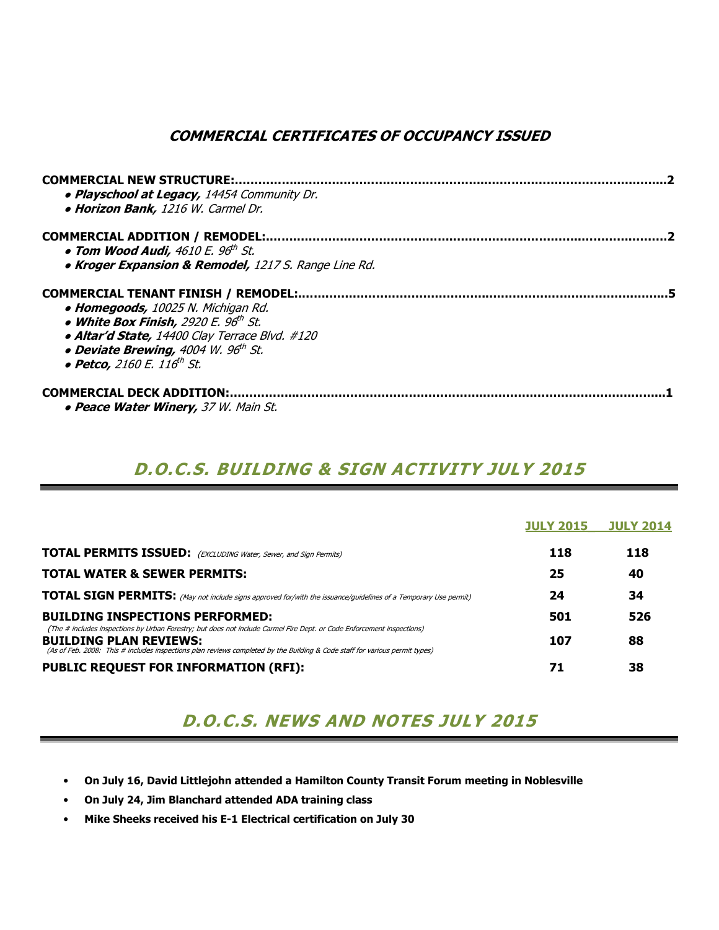### COMMERCIAL CERTIFICATES OF OCCUPANCY ISSUED

| <b>COMMERCIAL NEW STRUCTURE:</b><br>• Playschool at Legacy, 14454 Community Dr.<br>· Horizon Bank, 1216 W. Carmel Dr. |  |
|-----------------------------------------------------------------------------------------------------------------------|--|
| <b>COMMERCIAL ADDITION / REMODEL:.</b>                                                                                |  |
| • Tom Wood Audi, $4610E.96th St.$                                                                                     |  |
| • Kroger Expansion & Remodel, 1217 S. Range Line Rd.                                                                  |  |
| COMMERCIAL TENANT FINISH / REMODEL:                                                                                   |  |
| • Homegoods, 10025 N. Michigan Rd.                                                                                    |  |
| • White Box Finish, 2920 E. 96 <sup>th</sup> St.                                                                      |  |
| · Altar'd State, 14400 Clay Terrace Blvd. #120                                                                        |  |
| • Deviate Brewing, 4004 W. 96th St.                                                                                   |  |
| • Petco, 2160 E. 116 <sup>th</sup> St.                                                                                |  |
| <b>COMMERCIAL DECK ADDITION:</b>                                                                                      |  |
| • Peace Water Winery, 37 W. Main St.                                                                                  |  |

# D.O.C.S. BUILDING & SIGN ACTIVITY JULY 2015

|                                                                                                                                                                                                                                                                                        | <b>JULY 2015</b> | <b>JULY 2014</b> |
|----------------------------------------------------------------------------------------------------------------------------------------------------------------------------------------------------------------------------------------------------------------------------------------|------------------|------------------|
| <b>TOTAL PERMITS ISSUED:</b> (EXCLUDING Water, Sewer, and Sign Permits)                                                                                                                                                                                                                | 118              | 118              |
| <b>TOTAL WATER &amp; SEWER PERMITS:</b>                                                                                                                                                                                                                                                | 25               | 40               |
| <b>TOTAL SIGN PERMITS:</b> (May not include signs approved for/with the issuance/guidelines of a Temporary Use permit)                                                                                                                                                                 | 24               | 34               |
| <b>BUILDING INSPECTIONS PERFORMED:</b>                                                                                                                                                                                                                                                 | 501              | 526              |
| (The # includes inspections by Urban Forestry; but does not include Carmel Fire Dept. or Code Enforcement inspections)<br><b>BUILDING PLAN REVIEWS:</b><br>(As of Feb. 2008: This # includes inspections plan reviews completed by the Building & Code staff for various permit types) | 107              | 88               |
| <b>PUBLIC REQUEST FOR INFORMATION (RFI):</b>                                                                                                                                                                                                                                           | 71               | 38               |

### D.O.C.S. NEWS AND NOTES JULY 2015

- On July 16, David Littlejohn attended a Hamilton County Transit Forum meeting in Noblesville
- On July 24, Jim Blanchard attended ADA training class
- Mike Sheeks received his E-1 Electrical certification on July 30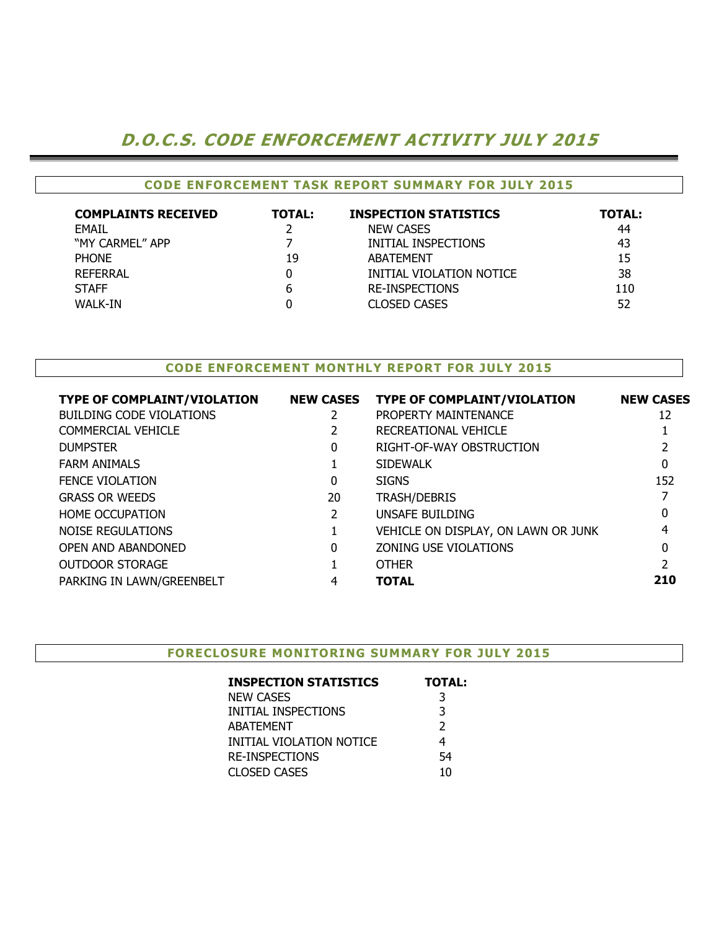### D.O.C.S. CODE ENFORCEMENT ACTIVITY JULY 2015

#### CODE ENFORCEMENT TASK REPORT SUMMARY FOR JULY 2015

| <b>COMPLAINTS RECEIVED</b> | <b>TOTAL:</b> | <b>INSPECTION STATISTICS</b> | <b>TOTAL:</b> |
|----------------------------|---------------|------------------------------|---------------|
| EMAIL                      |               | <b>NEW CASES</b>             | 44            |
| "MY CARMEL" APP            |               | INITIAL INSPECTIONS          | 43            |
| <b>PHONE</b>               | 19            | ABATEMENT                    | 15            |
| REFERRAL                   |               | INITIAL VIOLATION NOTICE     | 38            |
| <b>STAFF</b>               | b             | <b>RE-INSPECTIONS</b>        | 110           |
| WALK-IN                    |               | <b>CLOSED CASES</b>          | 52            |

#### CODE ENFORCEMENT MONTHLY REPORT FOR JULY 2015

| <b>TYPE OF COMPLAINT/VIOLATION</b> | <b>NEW CASES</b> | <b>TYPE OF COMPLAINT/VIOLATION</b>  | <b>NEW CASES</b> |
|------------------------------------|------------------|-------------------------------------|------------------|
| <b>BUILDING CODE VIOLATIONS</b>    |                  | PROPERTY MAINTENANCE                | 12               |
| COMMERCIAL VEHICLE                 |                  | RECREATIONAL VEHICLE                |                  |
| <b>DUMPSTER</b>                    | 0                | RIGHT-OF-WAY OBSTRUCTION            |                  |
| <b>FARM ANIMALS</b>                |                  | <b>SIDEWALK</b>                     | $\mathbf{0}$     |
| <b>FENCE VIOLATION</b>             | 0                | <b>SIGNS</b>                        | 152              |
| <b>GRASS OR WEEDS</b>              | 20               | <b>TRASH/DEBRIS</b>                 |                  |
| <b>HOME OCCUPATION</b>             | 2                | UNSAFE BUILDING                     | 0                |
| NOISE REGULATIONS                  |                  | VEHICLE ON DISPLAY, ON LAWN OR JUNK | 4                |
| <b>OPEN AND ABANDONED</b>          | 0                | ZONING USE VIOLATIONS               | 0                |
| <b>OUTDOOR STORAGE</b>             |                  | <b>OTHER</b>                        |                  |
| PARKING IN LAWN/GREENBELT          | 4                | <b>TOTAL</b>                        | 210              |
|                                    |                  |                                     |                  |

#### FORECLOSURE MONITORING SUMMARY FOR JULY 2015

| <b>INSPECTION STATISTICS</b> | <b>TOTAL:</b> |
|------------------------------|---------------|
| <b>NEW CASES</b>             | 3             |
| INITIAL INSPECTIONS          | 3             |
| <b>ABATEMENT</b>             | $\mathcal{P}$ |
| INITIAL VIOLATION NOTICE     | 4             |
| <b>RE-INSPECTIONS</b>        | 54            |
| <b>CLOSED CASES</b>          | 10            |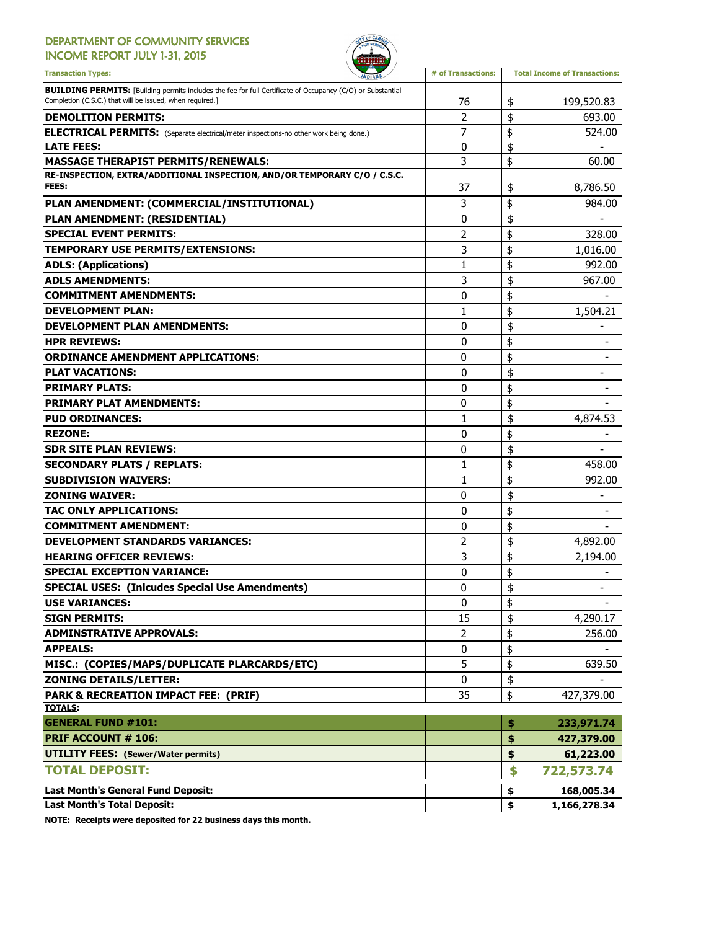#### DEPARTMENT OF COMMUNITY SERVICES INCOME REPORT JULY 1-31, 2015



Transaction Types: **All any of Transactions** and the *Minimality* and **#** of Transactions: Total Income of Transactions: **BUILDING PERMITS:** [Building permits includes the fee for full Certificate of Occupancy (C/O) or Substantial Completion (C.S.C.) that will be issued, when required.] 76 199,520.83 **\$** 199,520.83 **DEMOLITION PERMITS:** 693.00 ELECTRICAL PERMITS: (Separate electrical/meter inspections-no other work being done.) <br>
| 7 | \$ 524.00 LATE FEES:  $\begin{array}{ccccccc} & & & & & & \text{if} & & \text{if} & \text{if} & \text{if} & \text{if} & \text{if} & \text{if} & \text{if} & \text{if} & \text{if} & \text{if} & \text{if} & \text{if} & \text{if} & \text{if} & \text{if} & \text{if} & \text{if} & \text{if} & \text{if} & \text{if} & \text{if} & \text{if} & \text{if} & \text{if} & \text{if} & \text{if} & \text{if} & \text{if} & \text{if} & \text{if} & \text{if} & \text$ MASSAGE THERAPIST PERMITS/RENEWALS:  $\begin{array}{ccc} 3 & 3 \\ 60.00 & 3 \end{array}$ RE-INSPECTION, EXTRA/ADDITIONAL INSPECTION, AND/OR TEMPORARY C/O / C.S.C. FEES: 37 8,786.50 \$ PLAN AMENDMENT: (COMMERCIAL/INSTITUTIONAL)  $\begin{array}{ccc} | & 3 & | \ \$ & 984.00 \end{array}$ PLAN AMENDMENT: (RESIDENTIAL)  $\begin{array}{ccc} & & | & 0 & | \; \$ & & \; \text{---} \end{array}$ SPECIAL EVENT PERMITS:  $\begin{array}{ccc} 328.00 \\ -32.00 \end{array}$ TEMPORARY USE PERMITS/EXTENSIONS: 3 \$ 1,016.00 ADLS: (Applications)  $\begin{array}{ccc} 1 & 1 & 1 \end{array}$   $\qquad$  992.00 ADLS AMENDMENTS:  $\begin{array}{ccc} 3 & | & 5 \\ 967.00 & | & 3 \end{array}$ COMMITMENT AMENDMENTS:  $\begin{array}{ccc} 0 & 1 \\ 0 & 1 \end{array}$ **DEVELOPMENT PLAN:** 1,504.21 DEVELOPMENT PLAN AMENDMENTS:  $\begin{array}{ccc} 0 & 3 \end{array}$ HPR REVIEWS:  $\begin{array}{ccc} & & & \text{ } & & \text{ } \\ \text{} & & \text{ } & \text{ } & \text{ } & \text{ } & \text{ } \end{array}$ ORDINANCE AMENDMENT APPLICATIONS:  $\begin{array}{ccc} 0 & \ {\color{red} \S} & \end{array}$ PLAT VACATIONS: 0 - \$ **PRIMARY PLATS:**  $\begin{array}{ccc} 0 & 1 & 0 \\ 0 & 0 & 0 \end{array}$ **PRIMARY PLAT AMENDMENTS:**  $\begin{array}{ccc} 0 & 1 & 0 \\ \end{array}$ **PUD ORDINANCES:**  $\begin{array}{ccc} 1 & 1 & 1 \\ 4,874.53 & 4 \end{array}$ REZONE: the set of the set of the set of the set of the set of the set of the set of the set of the set of the set of the set of the set of the set of the set of the set of the set of the set of the set of the set of the SDR SITE PLAN REVIEWS: 0 - \$ SECONDARY PLATS / REPLATS: 1 \$ 458.00 SUBDIVISION WAIVERS:  $\begin{array}{ccc} | & 1 & | \ \$ & 992.00 \end{array}$ **ZONING WAIVER:**  $\begin{bmatrix} 0 & 0 \\ 0 & 0 \end{bmatrix}$   $\begin{bmatrix} 0 & 0 \\ 0 & 0 \end{bmatrix}$ TAC ONLY APPLICATIONS:  $\begin{array}{ccc} & & & & 0 & \ {\mathbb{S}} & & \ {\mathbb{S}} & & \ {\mathbb{S}} & & \ {\mathbb{S}} & & \end{array}$  $\begin{array}{ccc} \textbf{COMMITMENT} & \textbf{S} & \textbf{S} \ \textbf{S} & \textbf{S} & \textbf{S} \end{array}$ DEVELOPMENT STANDARDS VARIANCES:  $\begin{array}{ccc} & 2 & | \ \$ & 4,892.00 \end{array}$ HEARING OFFICER REVIEWS:  $\begin{array}{ccc} & 3 & | \ \$ & 2,194.00 \end{array}$ SPECIAL EXCEPTION VARIANCE: 0 \$ - SPECIAL USES: (Inlcudes Special Use Amendments) -USE VARIANCES:  $\begin{array}{ccc} 0 & \frac{1}{3} & \frac{1}{2} & \frac{1}{2} & \frac{1}{2} & \frac{1}{2} & \frac{1}{2} & \frac{1}{2} & \frac{1}{2} & \frac{1}{2} & \frac{1}{2} & \frac{1}{2} & \frac{1}{2} & \frac{1}{2} & \frac{1}{2} & \frac{1}{2} & \frac{1}{2} & \frac{1}{2} & \frac{1}{2} & \frac{1}{2} & \frac{1}{2} & \frac{1}{2} & \frac{1}{2} & \frac{1}{2} & \frac{1}{2} & \frac{$ **SIGN PERMITS:**  $\begin{array}{ccc} 4,290.17 \\ 4,290.17 \end{array}$ ADMINSTRATIVE APPROVALS:  $\begin{array}{ccc} & 2 & | \ \text{\$} & & 256.00 \end{array}$  $\begin{array}{ccc} \textbf{APPEALS:} \end{array}$ MISC.: (COPIES/MAPS/DUPLICATE PLARCARDS/ETC) 5 \$ 639.50 ZONING DETAILS/LETTER:  $\begin{array}{ccc} & & & \ & & \ & & \ & & \ & & \ & & 0 & \end{array}$ **PARK & RECREATION IMPACT FEE: (PRIF)** 35 \$ 427,379.00 TOTALS: GENERAL FUND #101: \$ 233,971.74 PRIF ACCOUNT # 106: **\$** 427,379.00 UTILITY FEES: (Sewer/Water permits) 61,223.00 TOTAL DEPOSIT: \$ 722,573.74 Last Month's General Fund Deposit: \$ 168,005.34

Last Month's Total Deposit:  $\begin{array}{ccc} 1,166,278.34 \end{array}$ 

NOTE: Receipts were deposited for 22 business days this month.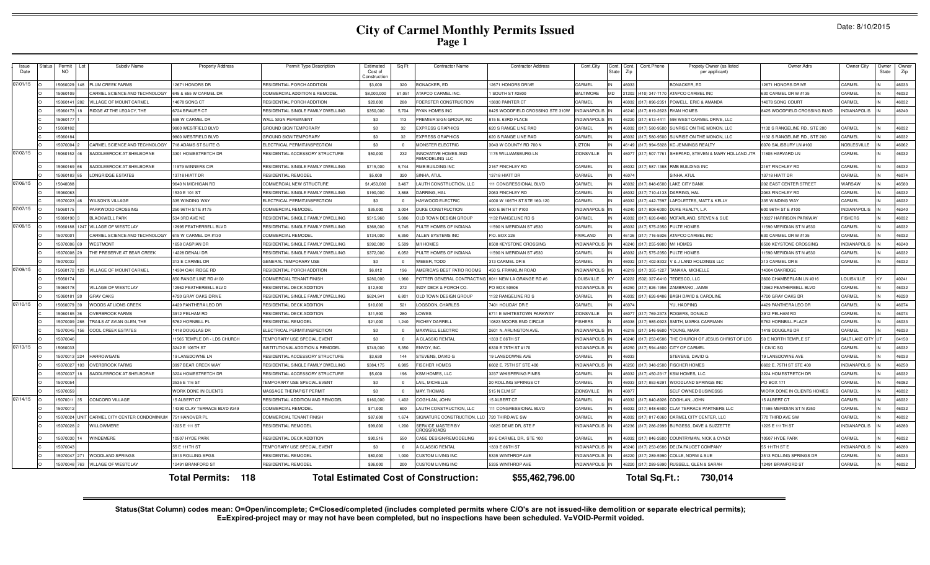# **City of Carmel Monthly Permits Issued Page 1**

|  | Date: 8/10/2015 |
|--|-----------------|
|--|-----------------|

| Issue<br>Date | Status | Permit<br><b>NO</b> | Subdiv Name                    | <b>Property Address</b>      | Permit Type Description            | Estimated<br>Cost of<br>Constructio | Sq Ft          | <b>Contractor Name</b>                       | <b>Contractor Address</b>        | Cont.City           | Cont.<br>State | Cont<br>Zip | Cont.Phone           | Propety Owner (as listed<br>per applicant) | Owner Adrs                        | Owner City          | Owner<br>State | Owne<br>Zip |
|---------------|--------|---------------------|--------------------------------|------------------------------|------------------------------------|-------------------------------------|----------------|----------------------------------------------|----------------------------------|---------------------|----------------|-------------|----------------------|--------------------------------------------|-----------------------------------|---------------------|----------------|-------------|
| 07/01/15      |        | 5060029             | PLUM CREEK FARMS<br>148        | 12671 HONORS DR              | RESIDENTIAL PORCH ADDITION         | \$3,000                             | 320            | ONACKER, ED                                  | 2671 HONORS DRIVE                | CARMEL              |                | 46033       |                      | BONACKER, ED                               | 12671 HONORS DRIVE                | CARMEL              |                | 46033       |
|               |        | 5060109             | CARMEL SCIENCE AND TECHNOLOGY  | 645 & 655 W CARMEL DR        | COMMERCIAL ADDITION & REMODEL      | \$8,000,000                         | 61,051         | <b>ITAPCO CARMEL INC.</b>                    | SOUTH ST #2800                   | <b>BALTIMORE</b>    |                |             | 21202 (410) 347-7170 | ATAPCO CARMEL INC                          | 630 CARMEL DR W #135              | CARMEL              |                | 46032       |
|               |        | 15060141            | VILLAGE OF MOUNT CARMEL<br>282 | 14078 SONG CT                | RESIDENTIAL PORCH ADDITION         | \$20,000                            | 288            | OERSTER CONSTRUCTION                         | 3830 PAINTER CT                  | CARMEL              |                |             | 46032 (317) 896-2351 | POWELL, ERIC & AMANDA                      | 4078 SONG COURT                   | CARMEL              |                | 46032       |
|               |        | 506017              | RIDGE AT THE LEGACY, THE       | 6724 BRAUER CT               | RESIDENTIAL SINGLE FAMILY DWELLING | \$350,000                           | 5,704          | YAN HOMES INC                                | 3425 WOODFIELD CROSSING STE 310W | <b>INDIANAPOLIS</b> |                |             | 46240 (317) 819-2623 | RYAN HOMES                                 | 8425 WOODFIELD CROSSING BLVD      | <b>INDIANAPOLIS</b> |                | 46240       |
|               |        | 1506017             |                                | 598 W CARMEL DR              | WALL SIGN PERMANENT                | \$0                                 | 113            | REMIER SIGN GROUP, INC                       | 15 E. 63RD PLACE                 | INDIANAPOLI         |                |             | 46220 (317) 613-4411 | 598 WEST CARMEL DRIVE, LLC                 |                                   |                     |                |             |
|               |        | 1506018             |                                | 9800 WESTFIELD BLVD          | GROUND SIGN TEMPORARY              | \$0                                 | 32             | <b>XPRESS GRAPHICS</b>                       | <b>20 S RANGE LINE RAD</b>       | CARMEL              |                | 46032       | (317) 580-9500       | SUNRISE ON THE MONON, LLC                  | 132 S RANGELINE RD., STE 200      | CARMEL              |                | 46032       |
|               |        | 1506018             |                                | 9800 WESTFIELD BLVD          | <b>GROUND SIGN TEMPORARY</b>       | \$0                                 | 32             | <b>XPRESS GRAPHICS</b>                       | 620 S RANGE LINE RAD             | CARMEL              |                |             | 46032 (317) 580-9500 | SUNRISE ON THE MONON, LLC                  | 132 S RANGELINE RD., STE 200      | CARMEL              |                | 46032       |
|               |        | 5070004             | CARMEL SCIENCE AND TECHNOLOGY  | 718 ADAMS ST SUITE G         | ELECTRICAL PERMIT/INSPECTION       | \$0                                 | $\Omega$       | <b>IONSTER ELECTRIC</b>                      | 3043 W COUNTY RD 700 N           | <b>LIZTON</b>       |                |             | 46149 (317) 994-5828 | <b>KC JENNINGS REALTY</b>                  | 6070 SALISBURY LN #100            | NOBLESVILLE         |                | 46062       |
| 07/02/15      |        | 15060152            | SADDLEBROOK AT SHELBORNE       | 3301 HOMESTRETCH DF          | RESIDENTIAL ACCESSORY STRUCTURE    | \$50,000                            | 232            | NNOVATIVE HOMES AND<br><b>EMODELING LLC</b>  | 175 WILLIAMSBURG LN              | ZIONSVILLE          |                | 46077       | (317) 507-7761       | SHEPARD, STEVEN & MARY HOLLAND JTR         | 1805 HARVARD LN                   | CARMEL              |                | 46032       |
|               |        | 506016              | SADDLEBROOK AT SHELBORNE       | 11979 WINNERS CIF            | RESIDENTIAL SINGLE FAMILY DWELLING | \$715,000                           | 5,744          | <b>IMB BUILDING INC</b>                      | 167 FINCHLEY RD                  | CARME               |                | 46032       | (317) 587-138        | RMB BUILDING INC                           | 2167 FINCHLEY RD                  | CARMEI              |                | 46032       |
|               |        | 506018              | <b>ONGRIDGE ESTATES</b>        | 13718 HIATT DF               | <b>RESIDENTIAL REMODEL</b>         | \$5,000                             | 320            | INHA, ATUL                                   | 13718 HIATT DR                   | CARME               |                | 46074       |                      | <b>SINHA, ATUL</b>                         | 13718 HIATT DR                    | CARMEI              |                | 46074       |
| 07/06/15      |        | 504008              |                                | 9640 N MICHIGAN RD           | COMMERCIAL NEW STRUCTURE           | \$1,450,000                         | 3.467          | <b>AUTH CONSTRUCTION, LLC</b>                | 11 CONGRESSIONAL BLVD            | CARME               |                | 16032       | (317) 848-650        | <b>AKE CITY BANK</b>                       | 202 EAST CENTER STREET            | WARSAW              |                | 46580       |
|               |        | 506006              |                                | 1530 E 101 ST                | RESIDENTIAL SINGLE FAMILY DWELLING | \$190,000                           | 3,868          | ARRING, HAL                                  | <b>2063 FINCHLEY RD</b>          | CARME               |                | 16032       | 317) 710-413         | ARRING, HAI                                | 2063 FINCHLEY RD                  | CARMEI              |                | 46032       |
|               |        | 507002              | <b>WILSON'S VILLAGE</b>        | 335 WINDING WAY              | ELECTRICAL PERMIT/INSPECTION       | \$0                                 | $\overline{0}$ | <b>IAYWOOD ELECTRIC</b>                      | 4000 W 106TH ST STE 160-120      | CARMEL              |                | 16032       | $(317)$ 442-759      | <b>AFOLETTES, MATT &amp; KELLY</b>         | 335 WINDING WAY                   | CARMEL              |                | 46032       |
| 07/07/15      |        | 50601               | PARKWOOD CROSSING              | 250 96TH ST E #175           | COMMERCIAL REMODEL                 | \$35,000                            | 3.004          | UKE CONSTRUCTION                             | 00 E 96TH ST #100                | <b>IORANDIN</b>     |                | 16240       | (317) 808-6000       | <b>DUKE REALTY, L.F</b>                    | 00 96TH ST E #100                 | NDIANAPOLIS         |                | 46240       |
|               |        | 506019              | <b>BLACKWELL PARK</b>          | 534 3RD AVE NE               | RESIDENTIAL SINGLE FAMILY DWELLING | \$515,960                           | 5.086          | <b>ILD TOWN DESIGN GROUP</b>                 | 132 RANGELINE RD S               | CARMEL              |                | 16032       | 317) 626-8486        | <b>MCFARLAND, STEVEN &amp; SUE</b>         | 3927 HARRISON PARKWAY             | <b>FISHERS</b>      |                | 46032       |
| 07/08/15      |        | 506018              | <b>VILLAGE OF WESTCLAY</b>     | 2995 FEATHERBELL BLVD        | RESIDENTIAL SINGLE FAMILY DWELLING | \$368,000                           | 5.745          | ULTE HOMES OF INDIANA                        | 1590 N MERIDIAN ST #530          | CARMEL              |                | 16032       | $(317) 575 - 2350$   | PULTE HOMES                                | 1590 MERIDIAN ST N #530           | CARMEL              |                | 46032       |
|               |        | 507000              | CARMEL SCIENCE AND TECHNOLOGY  | 615 W CARMEL DR #130         | COMMERCIAL REMODEL                 | \$134,000                           | 6,350          | LLEN SYSTEMS INC                             | O. BOX 226                       | AIRLAND             |                | 46126       | (317) 716-5926       | ATAPCO CARMEL INC                          | 30 CARMEL DR W #135               | CARMEL              |                | 46032       |
|               |        | 5070006             | WESTMONT<br>69                 | 658 CASPIAN DF               | RESIDENTIAL SINGLE FAMILY DWELLING | \$392,000                           | 5.509          | <b>M HOMES</b>                               | <b>3500 KEYSTONE CROSSING</b>    | <b>INDIANAPOLI</b>  |                | 46240       | (317) 255-9900       | M/I HOMES                                  | 8500 KEYSTONE CROSSING            | INDIANAPOLIS        |                | 46240       |
|               |        | 5070008             | THE PRESERVE AT BEAR CREEK     | 4228 DENALI DR               | RESIDENTIAL SINGLE FAMILY DWELLING | \$372,000                           | 6,052          | ULTE HOMES OF INDIANA                        | 1590 N MERIDIAN ST #530          | CARMEL              |                | 16032       | $(317) 575 - 2350$   | <b>ULTE HOMES</b>                          | 1590 MERIDIAN ST N #530           | CARMEL              |                | 46032       |
|               |        | 5070032             |                                | 313 E CARMEL DR              | GENERAL TEMPORARY USE              | \$0                                 | $\overline{0}$ | <b>VEBER, TODD</b>                           | 13 CARMEL DR E                   | CARMEL              |                |             | 46032 (317) 402-8332 | V & J LAND HOLDINGS LLC                    | 313 CARMEL DR E                   | CARMEL              |                | 46032       |
| 07/09/15      |        | 15060172            | VILLAGE OF MOUNT CARMEL<br>129 | 14304 OAK RIDGE RD           | RESIDENTIAL PORCH ADDITION         | \$6,812                             | 196            | MERICA'S BEST PATIO ROOMS                    | <b>450 S. FRANKLIN ROAD</b>      | <b>INDIANAPOLIS</b> |                | 46219       | $(317)$ 355-122      | TANAKA, MICHELLE                           | 4304 OAKRIDGE                     |                     |                |             |
|               |        | 506017              |                                | 850 RANGE LINE RD #100       | COMMERCIAL TENANT FINISH           | \$280,000                           | 1.960          | OTTER GENERAL CONTRACTING                    | 8011 NEW I A GRANGE RD #6        | <b>OUISVILLE</b>    |                | 10222       | (502) 327-6410       | TEDESCO, LLC                               | 3600 CHAMBERI AIN I N #316        | <b>OUISVILLE</b>    |                | 40241       |
|               |        | 1506017             | <b>ILLAGE OF WESTCLAY</b>      | 2962 FEATHERBELL BLVD        | RESIDENTIAL DECK ADDITION          | \$12,500                            | 272            | NDY DECK & PORCH CO.                         | O BOX 50506                      | <b>INDIANAPOLI</b>  |                | 16250       | (317) 826-1956       | ZAMBRANO, JAIME                            | 2962 FEATHERBELL BLVD             | CARMEL              |                | 46032       |
|               |        | 5060181             | <b>GRAY OAKS</b><br>20         | 4720 GRAY OAKS DRIVE         | RESIDENTIAL SINGLE FAMILY DWELLING | \$624,941                           | 6,801          | <b>DLD TOWN DESIGN GROUP</b>                 | 132 RANGELINE RD S               | CARMEL              |                | 46032       | (317) 626-8486       | BASH DAVID & CAROLINE                      | 4720 GRAY OAKS DR                 | CARMEL              |                | 46220       |
| 07/10/15      |        | 5060079             | WOODS AT LIONS CREEK           | 4429 PANTHERA LEO DR         | RESIDENTIAL DECK ADDITION          | \$10,000                            | 521            | OGSDON, CHARLES                              | 7401 HOLIDAY DR E                | CARMEL              |                | 46074       |                      | YU, HAOPING                                | 4429 PANTHERA LEO DF              | CARMEL              |                | 46074       |
|               |        | 5060185             | <b>OVERBROOK FARMS</b>         | 3912 PELHAM RD               | RESIDENTIAL DECK ADDITION          | \$11,500                            | 280            | <b>OWES</b>                                  | <b>3711 E WHITESTOWN PARKWAY</b> | <b>ZIONSVILLE</b>   |                |             | 46077 (317) 769-2373 | ROGERS, DONALD                             | 3912 PELHAM RD                    | CARMEL              |                | 46074       |
|               |        | 15070009            | TRAILS AT AVIAN GLEN, THE      | 5762 HORNBILL PL             | RESIDENTIAL REMODEL                | \$21,000                            | 1,240          | <b>IICHEY DARRELL</b>                        | 0823 MOORS END CIRCLE            | <b>FISHERS</b>      |                |             | 46038 (317) 985-0923 | SMITH, MARK& CARRIANN                      | 5762 HORNBILL PLACE               | CARMEL              |                | 46033       |
|               |        | 5070045             | COOL CREEK ESTATES             | 1418 DOUGLAS DR              | ELECTRICAL PERMIT/INSPECTION       | \$0                                 | $\overline{0}$ | <b>IAXWELL ELECTRIC</b>                      | 2601 N. ARLINGTON AVE            | <b>INDIANAPOLIS</b> |                |             | 46218 (317) 546-960  | YOUNG, MARK                                | 1418 DOUGLAS DR                   | CARMEL              |                | 46033       |
|               |        | 507004              |                                | 11565 TEMPLE DR - LDS CHURCH | TEMPORARY USE SPECIAL EVENT        | \$0                                 | $\overline{0}$ | <b>CLASSIC RENTAL</b>                        | 333 E 86TH ST                    | <b>INDIANAPOLI</b>  |                |             | 46240 (317) 253-058  | HE CHURCH OF JESUS CHRIST OF LDS           | 50 E NORTH TEMPLE ST              | SALT LAKE CITY UT   |                | 84150       |
| 07/13/15      |        | 1506003             |                                | 3242 E 106TH ST              | INSTITUTIONAL ADDITION & REMODEL   | \$749,000                           | 5.350          | NVOY, INC.                                   | 330 E 75TH ST #170               | <b>INDIANAPOLI</b>  |                | 46250       | (317) 594-4600       | CITY OF CARMEL                             | <b>I CIVIC SQ</b>                 | CARMEL              |                | 46032       |
|               |        | 507001              | HARROWGATE                     | 19 LANSDOWNE LN              | RESIDENTIAL ACCESSORY STRUCTURE    | \$3,630                             | 144            | TEVENS, DAVID G                              | 9 LANSDOWNE AVE                  | CARMEL              |                | 4603        |                      | <b>TEVENS, DAVID G</b>                     | 19 LANSDOWNE AVE                  | CARMEL              |                | 46033       |
|               |        | 507002              | <b>OVERBROOK FARMS</b>         | 3997 BEAR CREEK WAY          | RESIDENTIAL SINGLE FAMILY DWELLING | \$384,175                           | 6.985          | <b>ISCHER HOMES</b>                          | 602 E. 75TH ST STE 400           | INDIANAPOLI         |                |             | 46250 (317) 348-2500 | <b>FISCHER HOMES</b>                       | 6602 E. 75TH ST STE 400           | INDIANAPOLIS        |                | 46250       |
|               |        | 507003              | SADDLEBROOK AT SHELBORNE       | 3224 HOMESTRETCH DF          | RESIDENTIAL ACCESSORY STRUCTURE    | \$5,000                             | 196            | SM HOMES, LLC                                | 3237 WHISPERING PINES            | CARMEL              |                | 46032       | (317) 450-231        | KSM HOMES, LLC                             | 3224 HOMESTRETCH DF               | CARMEL              |                | 46032       |
|               |        | 5070054             |                                | 3535 E 116 ST                | TEMPORARY USE SPECIAL EVENT        | \$0                                 | $\Omega$       | AIL. MICHELLE                                | <b>20 ROLLING SPRINGS CT</b>     | CARMEL              |                | 46033       | (317) 853-6291       | WOODLAND SPRINGS INC                       | <b>PO BOX 171</b>                 | CARMEL              |                | 46082       |
|               |        | 507005              |                                | WORK DONE IN CLIENTS         | MASSAGE THERAPIST PERMIT           | \$0                                 | $\Omega$       | <b>IAY, THOMAS</b>                           | 15 N ELM ST                      | <b>ZIONSVILLE</b>   |                | 4607        |                      | SELF OWNED BUSINESSS                       | <b>WORK DONE IN CLIENTS HOMES</b> | CARMEL              |                | 46032       |
| 07/14/15      |        | 1507001             | CONCORD VILLAGE                | 15 ALBERT CT                 | RESIDENTIAL ADDITION AND REMODEL   | \$160,000                           | 1.402          | OGHLAN, JOHN                                 | 5 ALBERT CT                      | CARMEL              |                | 36032       | (317) 840-8926       | COGHLAN, JOHN                              | 5 ALBERT CT                       | CARMEL              |                | 46032       |
|               |        | 50700               |                                | 14390 CLAY TERRACE BLVD #249 | <b>COMMERCIAL REMODEL</b>          | \$71,000                            | 600            | AUTH CONSTRUCTION, LLC                       | 11 CONGRESSIONAL BLVD            | CARME               |                | 46032       | (317) 848-6500       | CLAY TERRACE PARTNERS LLC                  | 1595 MERIDIAN ST N #250           | CARMEL              |                | 46032       |
|               |        | 5070024             | CARMEL CITY CENTER CONDOMINIUM | 751 HANOVER P                | COMMERCIAL TENANT FINISH           | \$87,608                            | 1,674          | <b>IGNATURE CONSTRUCTION, LLC</b>            | 720 THIRD AVE SW                 | CARMEL              |                | 46032       | (317) 817-0360       | CARMEL CITY CENTER, LLC                    | 770 THIRD AVE SV                  | CARMEL              |                | 46032       |
|               |        | 507002              | WILLOWMERE                     | 1225 E 111 ST                | RESIDENTIAL REMODEL                | \$99,000                            | 1,200          | <b>ERVICE MASTER BY</b><br><b>ROSSROADS</b>  | 0625 DEME DR, STE F              | <b>INDIANAPOLIS</b> |                | 46236       | (317) 286-2999       | <b>BURGESS, DAVE &amp; SUZZETTE</b>        | 1225 E 111TH ST                   | <b>INDIANAPOLIS</b> |                | 46280       |
|               |        | 5070030             | VINDEMERE                      | 0507 HYDE PARK               | RESIDENTIAL DECK ADDITION          | \$90,516                            | 550            | ASE DESIGN/REMODELING                        | <b>9 E CARMEL DR., STE 100</b>   | CARMEL              |                | \$6032      | 317) 846-2600        | COUNTRYMAN, NICK & CYNDI                   | 0507 HYDE PARK                    | CARMEL              |                | 46032       |
|               |        | 5070043             |                                | 55 E 111TH ST                | TEMPORARY USE SPECIAL EVENT        | \$0                                 | $\sqrt{ }$     | <b>CLASSIC RENTAL</b>                        | 333 E 86TH ST                    | <b>INDIANAPOLIS</b> |                | 46240       | (317) 253-0586       | DELTA FAUCET COMPANY                       | 55 111TH ST E                     | INDIANAPOLIS        |                | 46280       |
|               |        | 5070047             | <b>NOODLAND SPRINGS</b>        | 3513 ROLLING SPGS            | <b>RESIDENTIAL REMODEL</b>         | \$80,000                            | 1.000          | <b>USTOM LIVING INC</b>                      | 5335 WINTHROP AVE                | <b>INDIANAPOLI</b>  |                | 16220       | (317) 289-5990       | COLLE, NORM & SUE                          | 3513 ROLLING SPRINGS DR           | CARMEL              |                | 46033       |
|               |        | 5070048             | <b>ILLAGE OF WESTCLAY</b>      | 12491 BRANFORD ST            | RESIDENTIAL REMODEL                | \$36,000                            | 200            | <b>USTOM LIVING INC</b>                      | 5335 WINTHROP AVE                | <b>INDIANAPOLIS</b> |                | 46220       | (317) 289-5990       | RUSSELL, GLEN & SARAH                      | 12491 BRANFORD ST                 | CARMEL              |                | 46032       |
|               |        |                     |                                | 118<br><b>Total Permits:</b> |                                    |                                     |                | <b>Total Estimated Cost of Construction:</b> | \$55,462,796.00                  |                     |                |             | Total Sq.Ft.:        | 730,014                                    |                                   |                     |                |             |

Status(Stat Column) codes mean: O=Open/incomplete; C=Closed/completed (includes completed permits where C/O's are not issued-like demolition or separate electrical permits);<br>E=Expired-project may or may not have been compl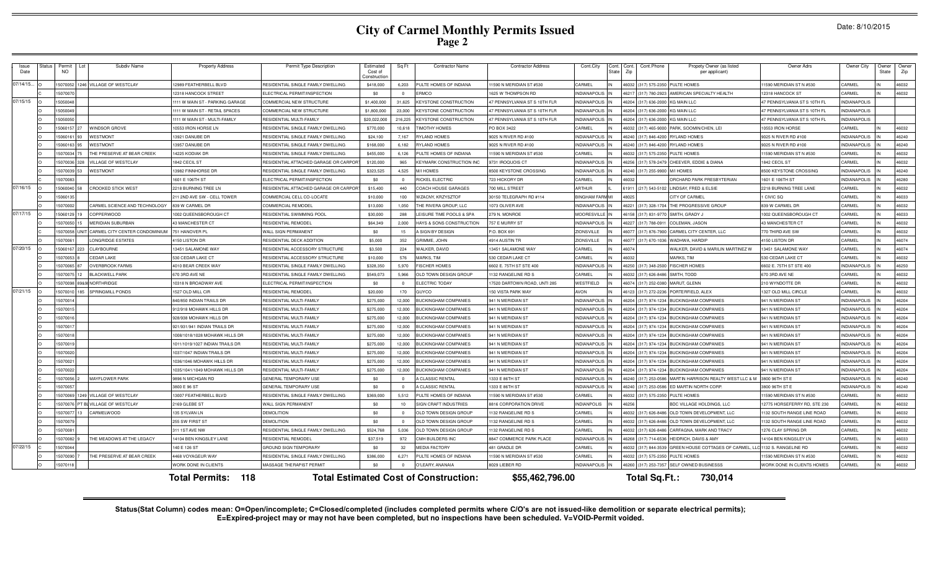# **City of Carmel Monthly Permits Issued Page 2**

|  | Date: 8/10/2015 |
|--|-----------------|
|--|-----------------|

| Issue<br>Date | <b>Status</b> | Permit<br><b>NO</b> | Subdiv Name                    | <b>Property Address</b>        | Permit Type Description               | Estimated<br>Cost of<br>Constructio | Sq Ft          | <b>Contractor Name</b>                       | <b>Contractor Address</b>     | Cont.City              | Cont. Cont.<br>State | Zip   | Cont.Phone                         | Propety Owner (as listed<br>per applicant)               | Owner Adrs                   | Owner City          | Owner<br>State | Owner<br>Zip |
|---------------|---------------|---------------------|--------------------------------|--------------------------------|---------------------------------------|-------------------------------------|----------------|----------------------------------------------|-------------------------------|------------------------|----------------------|-------|------------------------------------|----------------------------------------------------------|------------------------------|---------------------|----------------|--------------|
| 07/14/15      |               | 5070052             | 246 VILLAGE OF WESTCLAY        | 2989 FEATHERBELL BLVD          | RESIDENTIAL SINGLE FAMILY DWELLING    | \$418,000                           | 6,203          | <b>ULTE HOMES OF INDIANA</b>                 | 1590 N MERIDIAN ST #530       | CARMEL                 |                      |       | 46032 (317) 575-2350 PULTE HOMES   |                                                          | 1590 MERIDIAN ST N #530      | CARMEL              |                | 46032        |
|               |               | 1507007             |                                | 2318 HANCOCK STREET            | <b>LECTRICAL PERMIT/INSPECTION</b>    | \$0                                 | $\Omega$       | RMCO                                         | 625 W THOMPSON RD             | <b>NDIANAPOLIS</b>     |                      |       | 46217 (317) 780-2923               | AMERICAN SPECIALTY HEALTH                                | 2318 HANCOCK ST              | CARMEL              |                | 46032        |
| 07/15/15      |               | 15050048            |                                | 111 W MAIN ST - PARKING GARAGE | COMMERCIAL NEW STRUCTURE              | \$1,400,000                         | 31.625         | <b>KEYSTONE CONSTRUCTION</b>                 | 7 PENNSYLVANIA ST S 10TH FLF  | <b>INDIANAPOLIS</b>    |                      |       | 46204 (317) 636-2000 KG MAIN LLC   |                                                          | 7 PENNSYLVANIA ST S 10TH FL  | <b>INDIANAPOLIS</b> |                |              |
|               |               | 505004              |                                | 111 W MAIN ST - RETAIL SPACES  | COMMERCIAL NEW STRUCTURI              | \$1,800,000                         | 23,000         | <b>KEYSTONE CONSTRUCTION</b>                 | 7 PENNSYI VANIA ST S 10TH FLF | <b>NDIANAPOLIS</b>     |                      |       | 6204 (317) 636-2000 KG MAIN LLC    |                                                          | 7 PENNSYI VANIA ST S 10TH FI | <b>INDIANAPOLIS</b> |                |              |
|               |               | 15050050            |                                | 111 W MAIN ST - MHI TI-FAMILY  | <b>RESIDENTIAL MULTI-FAMILY</b>       | \$20,022,000                        | 216.225        | <b>KEYSTONE CONSTRUCTION</b>                 | 7 PENNSYLVANIA ST S 10TH FLF  | NDIANAPOLIS            |                      |       | 16204 (317) 636-2000 KG MAIN LLC   |                                                          | 7 PENNSYLVANIA ST S 10TH FL  | <b>INDIANAPOLIS</b> |                |              |
|               |               | 15060157            | WINDSOR GROVE                  | 0553 IRON HORSE IN             | RESIDENTIAL SINGLE FAMILY DWELLING    | \$770,000                           | 10,618         | <b>IMOTHY HOMES</b>                          | O BOX 3422                    | CARMEL                 |                      | 6032  |                                    | (317) 465-9000 PARK, SOOMIN/CHEN, LEI                    | 0553 IRON HORSE              | CARMEL              |                | 46032        |
|               |               | 15060161            | WESTMONT                       | 13921 DANUBE DR                | RESIDENTIAL SINGLE FAMILY DWELLING    | \$24,100                            | 7,167          | YLAND HOMES                                  | 9025 N RIVER RD #100          | NDIANAPOLIS            |                      |       | 46240 (317) 846-4200 RYLAND HOMES  |                                                          | 025 N RIVER RD #100          | <b>INDIANAPOLIS</b> |                | 46240        |
|               |               | 15060163            | WESTMONT                       | 13957 DANUBE DR                | RESIDENTIAL SINGLE FAMILY DWELLING    | \$168,000                           | 6,182          | YLAND HOMES                                  | 9025 N RIVER RD #100          | <b>INDIANAPOLIS</b>    |                      |       | 46240 (317) 846-4200 RYLAND HOMES  |                                                          | 025 N RIVER RD #100          | <b>INDIANAPOLIS</b> |                | 46240        |
|               |               | 15070034            | THE PRESERVE AT BEAR CREEK     | 4225 KODIAK DR                 | RESIDENTIAL SINGLE FAMILY DWELLING    | \$455,000                           | 6,126          | ULTE HOMES OF INDIANA                        | 1590 N MERIDIAN ST #530       | CARMEL                 |                      | 16032 | (317) 575-2350                     | PULTE HOMES                                              | 1590 MERIDIAN ST N #530      | CARMEL              |                | 46032        |
|               |               | 15070036            | <b>ILLAGE OF WESTCLAY</b>      | 842 CECIL ST                   | RESIDENTIAL ATTACHED GARAGE OR CARP   | \$120,000                           | 965            | EYMARK CONSTRUCTION INC                      | 9731 IROQUOIS CT              | NDIANAPOLI:            |                      | 16256 | (317) 578-2479                     | CHEEVER, EDDIE & DIANA                                   | 842 CECIL ST                 | CARMEL              |                | 46032        |
|               |               | 15070039            | WESTMONT                       | 13982 FINNHORSE DR             | RESIDENTIAL SINGLE FAMILY DWELLING    | \$323,525                           | 4,525          | <b>MI HOMES</b>                              | 8500 KEYSTONE CROSSING        | <b>INDIANAPOLIS</b>    |                      |       | 46240 (317) 255-9900 M/I HOMES     |                                                          | 8500 KEYSTONE CROSSING       | <b>INDIANAPOLIS</b> |                | 46240        |
|               |               | 15070083            |                                | 1601 E 106TH ST                | ELECTRICAL PERMIT/INSPECTION          | \$0                                 | $\overline{0}$ | <b>IICKEL ELECTRIC</b>                       | 723 HICKORY DR                | CARMEL                 |                      | 46032 |                                    | ORCHARD PARK PRESBYTERIAN                                | 1601 E 106TH ST              | <b>INDIANAPOLIS</b> |                | 46280        |
| 07/16/15      |               | 15060040            | <b>CROOKED STICK WEST</b>      | 2218 BURNING TREE IN           | RESIDENTIAL ATTACHED GARAGE OR CARPOF | \$15,400                            | 440            | COACH HOUSE GARAGES                          | 700 MILL STREET               | <b>ARTHIJR</b>         |                      |       | 61911 (217) 543-5102               | LINDSAY, FRED & ELSIE                                    | 2218 BURNING TREE LANE       | CARMEL              |                | 46032        |
|               |               | 1506013             |                                | 211 2ND AVE SW - CELL TOWER    | COMMERCIAL CELL CO-LOCATE             | \$10,000                            | 100            | WZACNY, KRZYSZTOF                            | 30150 TELEGRAPH RD #114       | <b>BINGHAM FARM MI</b> |                      | 48025 |                                    | CITY OF CARMEL                                           | CIVIC SQ                     | CARMEL              |                | 46033        |
|               |               | 1507000             | CARMEL SCIENCE AND TECHNOLOGY  | 839 W CARMEL DR                | COMMERCIAL REMODEL                    | \$13,000                            | 1.050          | THE RIVERA GROUP, LLC                        | 1073 OLIVER AVE               | <b>INDIANAPOLIS</b>    |                      |       |                                    | 46221 (317) 328-1704 THE PROGRESSIVE GROUP               | 839 W CARMEL DR              | CARMEL              |                | 46032        |
| 07/17/15      |               | 1506012             | COPPERWOOD                     | 1002 QUEENSBOROUGH CT          | RESIDENTIAL SWIMMING POOL             | \$30,000                            | 288            | EISURE TIME POOLS & SPA                      | 279 N. MONROE                 | MOORESVILLE            |                      |       | 46158 (317) 831-977                | SMITH, GRADY J                                           | 002 QUEENSBOROUGH CT         | CARMEL              |                | 46033        |
|               |               | 15070050            | <b>MERIDIAN SUBURBAN</b>       | 43 MANCHESTER CT               | RESIDENTIAL REMODEL                   | \$64,349                            | 2,000          | HAYS & SONS CONSTRUCTION                     | 757 E MURRY ST                | <b>INDIANAPOLIS</b>    |                      |       | 46227 (317) 788-0911               | COLEMAN, JASON                                           | <b>13 MANCHESTER CT</b>      | CARMEL              |                | 46032        |
|               |               | 15070058            | CARMEL CITY CENTER CONDOMINIUM | 751 HANOVER PI                 | <b>WALL SIGN PERMANENT</b>            | \$0                                 | 15             | SIGN BY DESIGN                               | P.O. BOX 691                  | ZIONSVILLE             |                      |       |                                    | 46077 (317) 876-7900 CARMEL CITY CENTER, LLC             | 770 THIRD AVE SW             | CARMEL              |                | 46032        |
|               |               | 1507006             | ONGRIDGE ESTATES               | 4150 LISTON DR                 | RESIDENTIAL DECK ADDITION             | \$5,000                             | 352            | GRIMME, JOHN                                 | 4914 AUSTIN TR                | ZIONSVILLE             |                      |       | 46077 (317) 670-1036               | WADHWA, HARDIF                                           | 150 LISTON DR                | CARMEL              |                | 46074        |
| 07/20/15      |               | 1506016             | CLAYBOURNE                     | 13451 SAI AMONE WAY            | RESIDENTIAL ACCESSORY STRUCTURE       | \$3,500                             | 224            | <b><i>NALKER, DAVID</i></b>                  | <b>3451 SALAMONE WAY</b>      | CARMEL                 |                      | 46074 |                                    | WALKER, DAVID & MARILIN MARTINEZ W                       | 3451 SALAMONE WAY            | CARMEL              |                | 46074        |
|               |               | 15070053            | CEDAR LAKE                     | 530 CEDAR LAKE CT              | RESIDENTIAL ACCESSORY STRUCTURE       | \$10,000                            | 576            | <b>AARKS. TIM</b>                            | <b>530 CEDAR LAKE CT</b>      | CARMEL                 |                      | 46032 |                                    | <b>MARKS, TIM</b>                                        | <b>530 CEDAR LAKE CT</b>     | CARMEL              |                | 46032        |
|               |               | 1507006             | <b>OVERBROOK FARMS</b>         | 4010 BEAR CREEK WAY            | RESIDENTIAL SINGLE FAMILY DWELLING    | \$328,350                           | 5,970          | <b>ISCHER HOMES</b>                          | 602 E. 75TH ST STE 400        | INDIANAPOLIS           |                      |       | 46250 (317) 348-2500 FISCHER HOMES |                                                          | 6602 E. 75TH ST STE 400      | <b>INDIANAPOLIS</b> |                | 46250        |
|               |               | 15070075            | <b>BLACKWELL PARK</b>          | 670 3RD AVE NE                 | RESIDENTIAL SINGLE FAMILY DWELLING    | \$549,073                           | 5,966          | OLD TOWN DESIGN GROUP                        | 132 RANGELINE RD S            | CARMEL                 |                      | 46032 | (317) 626-8486                     | SMITH, TODD                                              | 670 3RD AVE NE               | CARMEL              |                | 46032        |
|               |               | 1507009             | 9&9 NORTHRIDGE                 | 10318 N BROADWAY AVE           | ELECTRICAL PERMIT/INSPECTION          | \$0                                 | $\overline{0}$ | <b>ELECTRIC TODAY</b>                        | 7520 DARTOWN ROAD, UNTI 285   | WESTFIELD              |                      |       | 46074 (317) 252-0380 MARUT, GLENN  |                                                          | 210 WYNDOTTE DR              | CARMEL              |                | 46032        |
| 07/21/15      |               | 1507001             | SPRINGMILL PONDS               | 1527 OLD MILL CIR              | RESIDENTIAL REMODEL                   | \$20,000                            | 170            | <b>GUYCO</b>                                 | 150 VISTA PARK WAY            | <b>AVON</b>            |                      |       | 46123 (317) 272-2236               | PORTERFIELD, ALEX                                        | <b>1327 OLD MILL CIRCLE</b>  | CARMEL              |                | 46032        |
|               |               | 1507001             |                                | 840/850 INDIAN TRAILS DR       | RESIDENTIAL MULTI-FAMILY              | \$275,000                           | 12,000         | <b>BUCKINGHAM COMPANIES</b>                  | 941 N MERIDIAN ST             | <b>INDIANAPOLIS</b>    |                      |       | 46204 (317) 974-1234               | <b>BUCKINGHAM COMPANIES</b>                              | 941 N MERIDIAN ST            | <b>INDIANAPOLIS</b> |                | 46204        |
|               |               | 1507001             |                                | 12/918 MOHAWK HILLS DF         | RESIDENTIAL MULTI-FAMIL'              | \$275,000                           | 12,000         | UCKINGHAM COMPANIE:                          | <b>941 N MERIDIAN ST</b>      | <b>INDIANAPOLI</b>     |                      | 16204 | (317) 974-1234                     | <b>BUCKINGHAM COMPANIES</b>                              | <b>941 N MERIDIAN ST</b>     | <b>INDIANAPOLIS</b> |                | 46204        |
|               |               | 1507001             |                                | 928/938 MOHAWK HILLS DF        | RESIDENTIAL MULTI-FAMILY              | \$275,000                           | 12.000         | <b>IUCKINGHAM COMPANIE:</b>                  | <b>941 N MERIDIAN ST</b>      | <b>INDIANAPOLI</b>     |                      | 46204 | (317) 974-1234                     | <b>BUCKINGHAM COMPANIES</b>                              | 941 N MERIDIAN ST            | <b>INDIANAPOLIS</b> |                | 46204        |
|               |               | 1507001             |                                | 921/931/941 INDIAN TRAILS DF   | <b>RESIDENTIAL MULTI-FAMIL</b>        | \$275,000                           | 12,000         | UCKINGHAM COMPANIES                          | <b>941 N MERIDIAN ST</b>      | NDIANAPOLIS            |                      | 6204  | (317) 974-1234                     | <b>BUCKINGHAM COMPANIES</b>                              | <b>941 N MERIDIAN ST</b>     | <b>INDIANAPOLIS</b> |                | 16204        |
|               |               | 1507001             |                                | 008/1018/1028 MOHAWK HILLS DF  | RESIDENTIAL MULTI-FAMILY              | \$275,000                           | 12,000         | <b>IUCKINGHAM COMPANIE:</b>                  | 41 N MERIDIAN ST              | <b>NDIANAPOLIS</b>     |                      |       | 46204 (317) 974-1234               | <b>BUCKINGHAM COMPANIES</b>                              | 41 N MERIDIAN ST             | <b>INDIANAPOLIS</b> |                | 16204        |
|               |               | 1507001             |                                | 011/1019/1027 INDIAN TRAILS DF | RESIDENTIAL MULTI-FAMILY              | \$275,000                           | 12,000         | <b>UCKINGHAM COMPANIES</b>                   | <b>941 N MERIDIAN ST</b>      | <b>NDIANAPOLIS</b>     |                      |       | 46204 (317) 974-1234               | <b>BUCKINGHAM COMPANIES</b>                              | <b>941 N MERIDIAN ST</b>     | <b>INDIANAPOLIS</b> |                | 46204        |
|               |               | 15070020            |                                | 037/1047 INDIAN TRAILS DR      | RESIDENTIAL MULTI-FAMILY              | \$275,000                           | 12,000         | <b>IUCKINGHAM COMPANIES</b>                  | <b>941 N MERIDIAN ST</b>      | <b>NDIANAPOLI</b>      |                      |       | 6204 (317) 974-1234                | <b>BUCKINGHAM COMPANIES</b>                              | <b>941 N MERIDIAN ST</b>     | <b>INDIANAPOLIS</b> |                | 16204        |
|               |               | 1507002             |                                | 036/1046 MOHAWK HILLS DE       | <b>RESIDENTIAL MULTI-FAMILY</b>       | \$275,000                           | 12,000         | <b>ILICKINGHAM COMPANIE:</b>                 | <b>141 N MERIDIAN ST</b>      | <b>NDIANAPOLIS</b>     |                      |       | 46204 (317) 974-1234               | <b>BUCKINGHAM COMPANIES</b>                              | <b>141 N MERIDIAN ST</b>     | <b>INDIANAPOLIS</b> |                | 46204        |
|               |               | 15070022            |                                | 035/1041/1049 MOHAWK HILLS DR  | RESIDENTIAL MULTI-FAMILY              | \$275,000                           | 12.000         | <b>BUCKINGHAM COMPANIES</b>                  | 941 N MERIDIAN ST             | NDIANAPOLIS            |                      |       | 46204 (317) 974-1234               | <b>BLICKINGHAM COMPANIES</b>                             | 941 N MERIDIAN ST            | <b>INDIANAPOLIS</b> |                | 16204        |
|               |               | 15070056            | MAYFLOWER PARK                 | 896 N MICHGAN RD               | <b>GENERAL TEMPORARY USE</b>          | \$0                                 | $\Omega$       | CLASSIC RENTAL                               | 333 E 86TH ST                 | <b>NDIANAPOLIS</b>     |                      |       |                                    | 16240 (317) 253-0586 MARTIN HARRISON REALTY WEST LLC & M | 3800 96TH ST E               | <b>INDIANAPOLIS</b> |                | 46240        |
|               |               | 15070057            |                                | 8800 E 96 ST                   | GENERAL TEMPORARY USE                 | \$0                                 | $\Omega$       | <b>CLASSIC RENTAL</b>                        | 333 E 86TH ST                 | <b>NDIANAPOLIS</b>     |                      |       |                                    | 16240 (317) 253-0586 ED MARTIN NORTH CORP                | 8800 96TH ST E               | <b>INDIANAPOLIS</b> |                | 46240        |
|               |               | 15070069            | 249 VILLAGE OF WESTCLAY        | 3007 FEATHERBELL BLVD          | RESIDENTIAL SINGLE FAMILY DWELLING    | \$369,000                           | 5,512          | ULTE HOMES OF INDIANA                        | 1590 N MERIDIAN ST #530       | CARMEL                 |                      | 16032 | (317) 575-2350 PULTE HOMES         |                                                          | 1590 MERIDIAN ST N #530      | CARMEL              |                | 46032        |
|               |               | 15070076            | T BL VILLAGE OF WESTCLAY       | 2169 GLEBE ST                  | WALL SIGN PERMANENT                   | \$0                                 | 10             | <b>SIGN CRAFT INDUSTRIES</b>                 | <b>8816 CORPORATION DRIVE</b> | <b>INDIANPOLIS</b>     |                      | 16256 |                                    | BDC VILLAGE HOLDINGS, LLC                                | 2775 HORSEFERRY RD, STE 230  | CARMEL              |                | 46032        |
|               |               | 15070077            | CARMELWOOD                     | 135 SYLVAN LN                  | <b>DEMOLITION</b>                     | \$0                                 | $\overline{0}$ | OLD TOWN DESIGN GROUP                        | 132 RANGELINE RD S            | CARMEL                 |                      |       |                                    | 46032 (317) 626-8486 OLD TOWN DEVELOPMENT, LLC           | 132 SOUTH RANGE LINE ROAD    | CARMEL              |                | 46032        |
|               |               | 15070079            |                                | 255 SW FIRST ST                | <b>DEMOLITION</b>                     | \$0                                 | $\overline{0}$ | OLD TOWN DESIGN GROUP                        | 132 RANGELINE RD S            | CARMEL                 |                      |       |                                    | 46032 (317) 626-8486 OLD TOWN DEVELOPMENT, LLC           | 132 SOUTH RANGE LINE ROAD    | CARMEL              |                | 46032        |
|               |               | 1507008             |                                | 311 1ST AVE NW                 | RESIDENTIAL SINGLE FAMILY DWELLING    | \$524,768                           | 5,036          | OLD TOWN DESIGN GROUP                        | 1132 RANGELINE RD S           | CARMEL                 |                      |       |                                    | 46032 (317) 626-8486 CARFAGNA, MARK AND TRACY            | 1276 CLAY SPRING DR          | CARMEL              |                | 46032        |
|               |               | 15070082            | HE MEADOWS AT THE LEGACY       | 14104 BEN KINGSLEY LANE        | RESIDENTIAL REMODEL                   | \$37,519                            | 972            | CMH BUILDERS INC                             | 8847 COMMERCE PARK PLACE      | <b>INDIANAPOLIS</b>    |                      |       |                                    | 46268 (317) 714-6536 HEIDRICH, DAVIS & AMY               | 14104 BEN KINGSLEY LN        | CARMEL              |                | 46033        |
| 07/22/15      |               | 1507004             |                                | 140 E 126 ST                   | <b>GROUND SIGN TEMPORARY</b>          | \$0                                 | 32             | <b>JEDIA FACTORY</b>                         | 481 GRADLE DR                 | CARMEL                 |                      |       |                                    | 46032 (317) 844-3539 GREEN HOUSE COTTAGES OF CARMEL,     | 1132 S. RANGELINE RD         | CARMEL              |                | 46032        |
|               |               | 1507009             | HE PRESERVE AT BEAR CREEK      | 4468 VOYAGEUR WAY              | RESIDENTIAL SINGLE FAMILY DWELLING    | \$386,000                           | 6.271          | ULTE HOMES OF INDIANA                        | 1590 N MERIDIAN ST #530       | CARMEL                 |                      | 46032 | (317) 575-2350 PULTE HOMES         |                                                          | 1590 MERIDIAN ST N #530      | CARMEL              |                | 46032        |
|               |               | 1507011             |                                | WORK DONE IN CLIENTS           | MASSAGE THERAPIST PERMIT              | \$0                                 | $\Omega$       | O'LEARY, ANANAIA                             | 8029 LIEBER RD                | INDIANAPOLIS IN        |                      |       |                                    | 46260 (317) 253-7357 SELF OWNED BUSINESSS                | WORK DONE IN CLIENTS HOMES   | CARMEL              |                | 46032        |
|               |               |                     |                                | 118<br><b>Total Permits:</b>   |                                       |                                     |                | <b>Total Estimated Cost of Construction:</b> | \$55,462,796.00               |                        |                      |       | Total Sq.Ft.:                      | 730,014                                                  |                              |                     |                |              |

Status(Stat Column) codes mean: O=Open/incomplete; C=Closed/completed (includes completed permits where C/O's are not issued-like demolition or separate electrical permits);<br>E=Expired-project may or may not have been compl